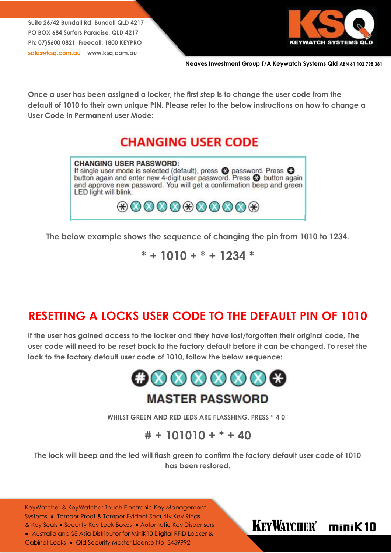**Suite 26/42 Bundall Rd, Bundall QLD 4217 PO BOX 684 Surfers Paradise, QLD 4217 Ph: 07)5600 0821 Freecall: 1800 KEYPRO [sales@ksq.com.au](mailto:sales@ksq.com.au) www.ksq.com.au**



**Neaves Investment Group T/A Keywatch Systems Qld ABN 61 102 798 381**

**Once a user has been assigned a locker, the first step is to change the user code from the default of 1010 to their own unique PIN. Please refer to the below instructions on how to change a User Code in Permanent user Mode:**

### **CHANGING USER CODE**



**The below example shows the sequence of changing the pin from 1010 to 1234.**

**\* + 1010 + \* + 1234 \***

### **RESETTING A LOCKS USER CODE TO THE DEFAULT PIN OF 1010**

**If the user has gained access to the locker and they have lost/forgotten their original code, The user code will need to be reset back to the factory default before it can be changed. To reset the lock to the factory default user code of 1010, follow the below sequence:**



**WHILST GREEN AND RED LEDS ARE FLASSHING, PRESS " 4 0"**

### **# + 101010 + \* + 40**

**The lock will beep and the led will flash green to confirm the factory default user code of 1010 has been restored.**

KeyWatcher & KeyWatcher Touch Electronic Key Management Systems ● Tamper Proof & Tamper Evident Security Key Rings & Key Seals ● Security Key Lock Boxes ● Automatic Key Dispensers ● Australia and SE Asia Distributor for MiniK10 Digital RFID Locker & Cabinet Locks ● Qld Security Master License No: 3459992

#### **KEYWATCHER®** minik10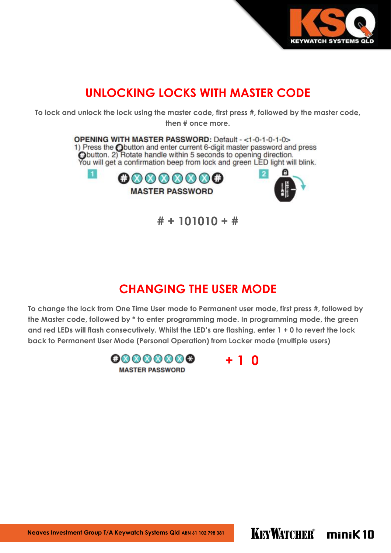

## **UNLOCKING LOCKS WITH MASTER CODE**

**To lock and unlock the lock using the master code, first press #, followed by the master code, then # once more.**

> OPENING WITH MASTER PASSWORD: Default - <1-0-1-0-1-0> 1) Press the Coutton and enter current 6-digit master password and press<br>Coutton. 2) Rotate handle within 5 seconds to opening direction.<br>You will get a confirmation beep from lock and green LED light will blink.



**# + 101010 + #** 

### **CHANGING THE USER MODE**

**To change the lock from One Time User mode to Permanent user mode, first press #, followed by the Master code, followed by \* to enter programming mode. In programming mode, the green and red LEDs will flash consecutively. Whilst the LED's are flashing, enter 1 + 0 to revert the lock back to Permanent User Mode (Personal Operation) from Locker mode (multiple users)** 



**Neaves Investment Group T/A Keywatch Systems Qld ABN 61 102 798 381**

KEYWATCHER® minik 10